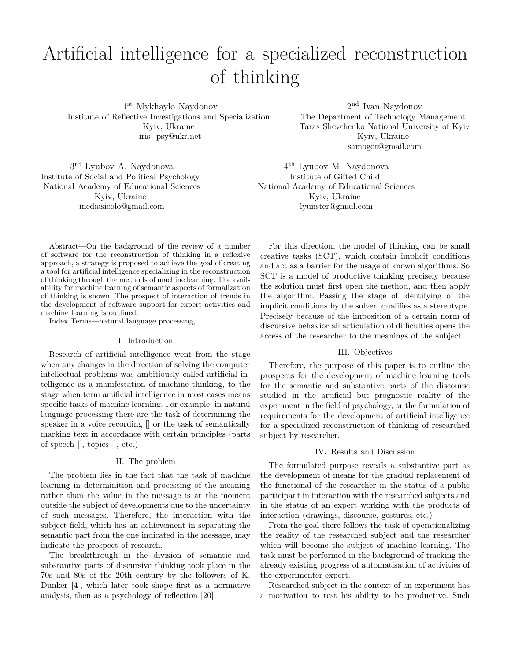# Artificial intelligence for a specialized reconstruction of thinking

1 st Mykhaylo Naydonov Institute of Reflective Investigations and Specialization Kyiv, Ukraine iris\_psy@ukr.net

2 nd Ivan Naydonov The Department of Technology Management Taras Shevchenko National University of Kyiv Kyiv, Ukraine samogot@gmail.com

3 rd Lyubov A. Naydonova Institute of Social and Political Psychology National Academy of Educational Sciences Kyiv, Ukraine mediasicolo@gmail.com

4 th Lyubov M. Naydonova Institute of Gifted Child National Academy of Educational Sciences Kyiv, Ukraine lyunster@gmail.com

Abstract—On the background of the review of a number of software for the reconstruction of thinking in a reflexive approach, a strategy is proposed to achieve the goal of creating a tool for artificial intelligence specializing in the reconstruction of thinking through the methods of machine learning. The availability for machine learning of semantic aspects of formalization of thinking is shown. The prospect of interaction of trends in the development of software support for expert activities and machine learning is outlined.

Index Terms—natural language processing,

## I. Introduction

Research of artificial intelligence went from the stage when any changes in the direction of solving the computer intellectual problems was ambitiously called artificial intelligence as a manifestation of machine thinking, to the stage when term artificial intelligence in most cases means specific tasks of machine learning. For example, in natural language processing there are the task of determining the speaker in a voice recording [] or the task of semantically marking text in accordance with certain principles (parts of speech [], topics [], etc.)

### II. The problem

The problem lies in the fact that the task of machine learning in determinition and processing of the meaning rather than the value in the message is at the moment outside the subject of developments due to the uncertainty of such messages. Therefore, the interaction with the subject field, which has an achievement in separating the semantic part from the one indicated in the message, may indicate the prospect of research.

The breakthrough in the division of semantic and substantive parts of discursive thinking took place in the 70s and 80s of the 20th century by the followers of K. Dunker [4], which later took shape first as a normative analysis, then as a psychology of reflection [20].

For this direction, the model of thinking can be small creative tasks (SCT), which contain implicit conditions and act as a barrier for the usage of known algorithms. So SCT is a model of productive thinking precisely because the solution must first open the method, and then apply the algorithm. Passing the stage of identifying of the implicit conditions by the solver, qualifies as a stereotype. Precisely because of the imposition of a certain norm of discursive behavior all articulation of difficulties opens the access of the researcher to the meanings of the subject.

## III. Objectives

Therefore, the purpose of this paper is to outline the prospects for the development of machine learning tools for the semantic and substantive parts of the discourse studied in the artificial but prognostic reality of the experiment in the field of psychology, or the formulation of requirements for the development of artificial intelligence for a specialized reconstruction of thinking of researched subject by researcher.

### IV. Results and Discussion

The formulated purpose reveals a substantive part as the development of means for the gradual replacement of the functional of the researcher in the status of a public participant in interaction with the researched subjects and in the status of an expert working with the products of interaction (drawings, discourse, gestures, etc.)

From the goal there follows the task of operationalizing the reality of the researched subject and the researcher which will become the subject of machine learning. The task must be performed in the background of tracking the already existing progress of automatisation of activities of the experimenter-expert.

Researched subject in the context of an experiment has a motivation to test his ability to be productive. Such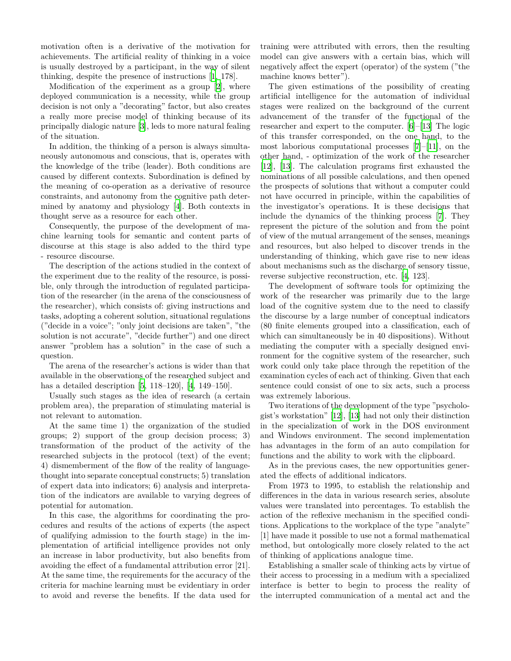motivation often is a derivative of the motivation for achievements. The artificial reality of thinking in a voice is usually destroyed by a participant, in the way of silent thinking, despite the presence of instructions [\[1](#page-2-0), 178].

Modification of the experiment as a group [\[2](#page-2-1)], where deployed communication is a necessity, while the group decision is not only a "decorating" factor, but also creates a really more precise model of thinking because of its principally dialogic nature [\[3](#page-2-2)], leds to more natural fealing of the situation.

In addition, the thinking of a person is always simultaneously autonomous and conscious, that is, operates with the knowledge of the tribe (leader). Both conditions are caused by different contexts. Subordination is defined by the meaning of co-operation as a derivative of resource constraints, and autonomy from the cognitive path determined by anatomy and physiology [\[4](#page-2-3)]. Both contexts in thought serve as a resource for each other.

Consequently, the purpose of the development of machine learning tools for semantic and content parts of discourse at this stage is also added to the third type - resource discourse.

The description of the actions studied in the context of the experiment due to the reality of the resource, is possible, only through the introduction of regulated participation of the researcher (in the arena of the consciousness of the researcher), which consists of: giving instructions and tasks, adopting a coherent solution, situational regulations ("decide in a voice"; "only joint decisions are taken", "the solution is not accurate", "decide further") and one direct answer "problem has a solution" in the case of such a question.

The arena of the researcher's actions is wider than that available in the observations of the researched subject and has a detailed description [\[5](#page-2-4), 118–120], [[4](#page-2-3), 149–150].

Usually such stages as the idea of research (a certain problem area), the preparation of stimulating material is not relevant to automation.

At the same time 1) the organization of the studied groups; 2) support of the group decision process; 3) transformation of the product of the activity of the researched subjects in the protocol (text) of the event; 4) dismemberment of the flow of the reality of languagethought into separate conceptual constructs; 5) translation of expert data into indicators; 6) analysis and interpretation of the indicators are available to varying degrees of potential for automation.

In this case, the algorithms for coordinating the procedures and results of the actions of experts (the aspect of qualifying admission to the fourth stage) in the implementation of artificial intelligence provides not only an increase in labor productivity, but also benefits from avoiding the effect of a fundamental attribution error [21]. At the same time, the requirements for the accuracy of the criteria for machine learning must be evidentiary in order to avoid and reverse the benefits. If the data used for training were attributed with errors, then the resulting model can give answers with a certain bias, which will negatively affect the expert (operator) of the system ("the machine knows better").

The given estimations of the possibility of creating artificial intelligence for the automation of individual stages were realized on the background of the current advancement of the transfer of the functional of the researcher and expert to the computer. [\[6](#page-2-5)]–[[13\]](#page-2-6) The logic of this transfer corresponded, on the one hand, to the most laborious computational processes [[7\]](#page-2-7)–[\[11](#page-2-8)], on the other hand, - optimization of the work of the researcher [[12\]](#page-2-9), [\[13](#page-2-6)]. The calculation programs first exhausted the nominations of all possible calculations, and then opened the prospects of solutions that without a computer could not have occurred in principle, within the capabilities of the investigator's operations. It is these decisions that include the dynamics of the thinking process [\[7](#page-2-7)]. They represent the picture of the solution and from the point of view of the mutual arrangement of the senses, meanings and resources, but also helped to discover trends in the understanding of thinking, which gave rise to new ideas about mechanisms such as the discharge of sensory tissue, reverse subjective reconstruction, etc. [\[4](#page-2-3), 123].

The development of software tools for optimizing the work of the researcher was primarily due to the large load of the cognitive system due to the need to classify the discourse by a large number of conceptual indicators (80 finite elements grouped into a classification, each of which can simultaneously be in 40 dispositions). Without mediating the computer with a specially designed environment for the cognitive system of the researcher, such work could only take place through the repetition of the examination cycles of each act of thinking. Given that each sentence could consist of one to six acts, such a process was extremely laborious.

Two iterations of the development of the type "psychologist's workstation" [[12\]](#page-2-9), [[13\]](#page-2-6) had not only their distinction in the specialization of work in the DOS environment and Windows environment. The second implementation has advantages in the form of an auto compilation for functions and the ability to work with the clipboard.

As in the previous cases, the new opportunities generated the effects of additional indicators.

From 1973 to 1995, to establish the relationship and differences in the data in various research series, absolute values were translated into percentages. To establish the action of the reflexive mechanism in the specified conditions. Applications to the workplace of the type "analyte" [1] have made it possible to use not a formal mathematical method, but ontologically more closely related to the act of thinking of applications analogue time.

Establishing a smaller scale of thinking acts by virtue of their access to processing in a medium with a specialized interface is better to begin to process the reality of the interrupted communication of a mental act and the